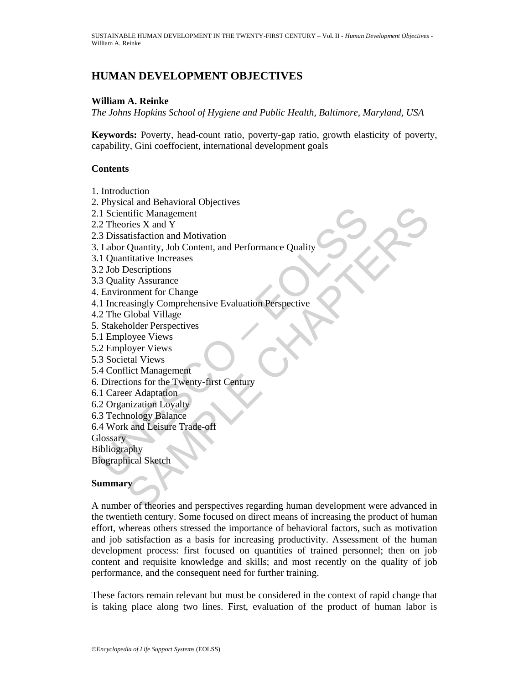# **HUMAN DEVELOPMENT OBJECTIVES**

## **William A. Reinke**

*The Johns Hopkins School of Hygiene and Public Health, Baltimore, Maryland, USA* 

**Keywords:** Poverty, head-count ratio, poverty-gap ratio, growth elasticity of poverty, capability, Gini coeffocient, international development goals

## **Contents**

- 1. Introduction
- 2. Physical and Behavioral Objectives
- 2.1 Scientific Management
- 2.2 Theories X and Y
- 2.3 Dissatisfaction and Motivation
- 1. Scientific Management<br>
2. Theories X and Y<br>
2. Theories X and Y<br>
2. Labor Quantity, Job Content, and Performance Quality<br>
1. Quantitative Increases<br>
2. Job Descriptions<br>
3. Quality Assurance<br>
2. The Global Village<br>
1. I 3. Labor Quantity, Job Content, and Performance Quality
- 3.1 Quantitative Increases
- 3.2 Job Descriptions
- 3.3 Quality Assurance
- 4. Environment for Change
- 4.1 Increasingly Comprehensive Evaluation Perspective
- 4.2 The Global Village
- 5. Stakeholder Perspectives
- 5.1 Employee Views
- 5.2 Employer Views
- 5.3 Societal Views
- 5.4 Conflict Management
- 6. Directions for the Twenty-first Century
- 6.1 Career Adaptation
- 6.2 Organization Loyalty
- 6.3 Technology Balance
- 6.4 Work and Leisure Trade-off
- **Glossary**
- Bibliography
- Biographical Sketch

## **Summary**

and a boundary<br>trific Management<br>the X and Y<br>Quantity, Job Content, and Performance Quality<br>Quantity, Job Content, and Performance Quality<br>statistic Increases<br>in the Assume of Change<br>is the Substance<br>in Substance<br>in Substa A number of theories and perspectives regarding human development were advanced in the twentieth century. Some focused on direct means of increasing the product of human effort, whereas others stressed the importance of behavioral factors, such as motivation and job satisfaction as a basis for increasing productivity. Assessment of the human development process: first focused on quantities of trained personnel; then on job content and requisite knowledge and skills; and most recently on the quality of job performance, and the consequent need for further training.

These factors remain relevant but must be considered in the context of rapid change that is taking place along two lines. First, evaluation of the product of human labor is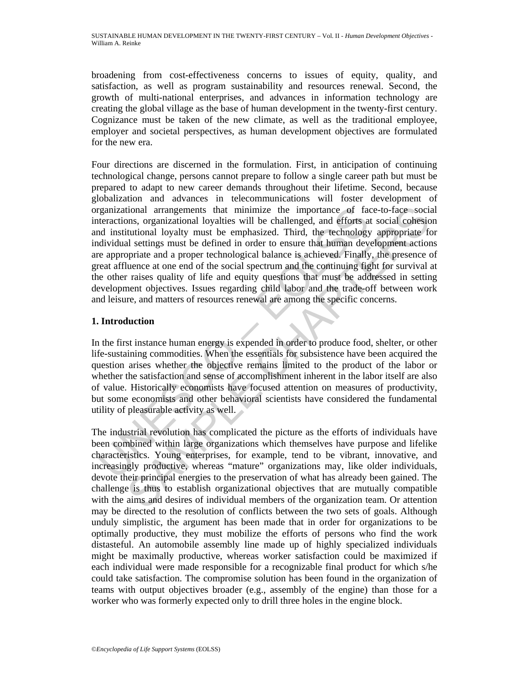broadening from cost-effectiveness concerns to issues of equity, quality, and satisfaction, as well as program sustainability and resources renewal. Second, the growth of multi-national enterprises, and advances in information technology are creating the global village as the base of human development in the twenty-first century. Cognizance must be taken of the new climate, as well as the traditional employee, employer and societal perspectives, as human development objectives are formulated for the new era.

relational arrangements that minimize the importance of facture<br>distractions, organizational loyalities will be challenged, and efforts a<br>distintutional loyaly must be emphasized. Third, the technology<br>didvidual settings m tional arrangements that minimize the importance of face-to-face social, cons, organizational loyalties will be challenged, and efforts at social cohesions, organizational loyalties will be challenged, and efforts at socia Four directions are discerned in the formulation. First, in anticipation of continuing technological change, persons cannot prepare to follow a single career path but must be prepared to adapt to new career demands throughout their lifetime. Second, because globalization and advances in telecommunications will foster development of organizational arrangements that minimize the importance of face-to-face social interactions, organizational loyalties will be challenged, and efforts at social cohesion and institutional loyalty must be emphasized. Third, the technology appropriate for individual settings must be defined in order to ensure that human development actions are appropriate and a proper technological balance is achieved. Finally, the presence of great affluence at one end of the social spectrum and the continuing fight for survival at the other raises quality of life and equity questions that must be addressed in setting development objectives. Issues regarding child labor and the trade-off between work and leisure, and matters of resources renewal are among the specific concerns.

## **1. Introduction**

In the first instance human energy is expended in order to produce food, shelter, or other life-sustaining commodities. When the essentials for subsistence have been acquired the question arises whether the objective remains limited to the product of the labor or whether the satisfaction and sense of accomplishment inherent in the labor itself are also of value. Historically economists have focused attention on measures of productivity, but some economists and other behavioral scientists have considered the fundamental utility of pleasurable activity as well.

The industrial revolution has complicated the picture as the efforts of individuals have been combined within large organizations which themselves have purpose and lifelike characteristics. Young enterprises, for example, tend to be vibrant, innovative, and increasingly productive, whereas "mature" organizations may, like older individuals, devote their principal energies to the preservation of what has already been gained. The challenge is thus to establish organizational objectives that are mutually compatible with the aims and desires of individual members of the organization team. Or attention may be directed to the resolution of conflicts between the two sets of goals. Although unduly simplistic, the argument has been made that in order for organizations to be optimally productive, they must mobilize the efforts of persons who find the work distasteful. An automobile assembly line made up of highly specialized individuals might be maximally productive, whereas worker satisfaction could be maximized if each individual were made responsible for a recognizable final product for which s/he could take satisfaction. The compromise solution has been found in the organization of teams with output objectives broader (e.g., assembly of the engine) than those for a worker who was formerly expected only to drill three holes in the engine block.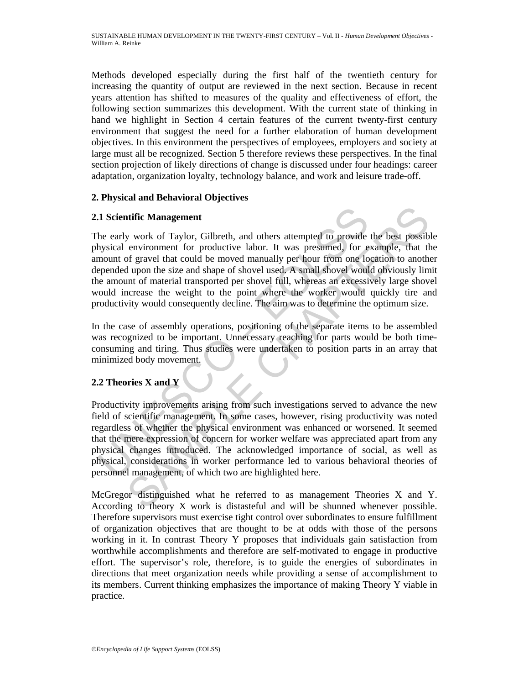Methods developed especially during the first half of the twentieth century for increasing the quantity of output are reviewed in the next section. Because in recent years attention has shifted to measures of the quality and effectiveness of effort, the following section summarizes this development. With the current state of thinking in hand we highlight in Section 4 certain features of the current twenty-first century environment that suggest the need for a further elaboration of human development objectives. In this environment the perspectives of employees, employers and society at large must all be recognized. Section 5 therefore reviews these perspectives. In the final section projection of likely directions of change is discussed under four headings: career adaptation, organization loyalty, technology balance, and work and leisure trade-off.

## **2. Physical and Behavioral Objectives**

## **2.1 Scientific Management**

**1. Scientific Management**<br>the early work of Taylor, Gilbreth, and others attempted to provide<br>hysical environment for productive labor. It was presumed, for e<br>mount of gravel that could be moved manually per hour from on **EXECUTE:**<br> **ACCONDIGNATION**<br> **EXECUTE CONSTED AND INTER CONSTED ENDED AND THE SET AND IN THE SET AND IN THE SET AND IN THE SET AND NET AN INTERENT AND INTERENT AND INTERENT AND INTERENT AND INTERENT AND INTERENT AND INTER** The early work of Taylor, Gilbreth, and others attempted to provide the best possible physical environment for productive labor. It was presumed, for example, that the amount of gravel that could be moved manually per hour from one location to another depended upon the size and shape of shovel used. A small shovel would obviously limit the amount of material transported per shovel full, whereas an excessively large shovel would increase the weight to the point where the worker would quickly tire and productivity would consequently decline. The aim was to determine the optimum size.

In the case of assembly operations, positioning of the separate items to be assembled was recognized to be important. Unnecessary reaching for parts would be both timeconsuming and tiring. Thus studies were undertaken to position parts in an array that minimized body movement.

## **2.2 Theories X and Y**

Productivity improvements arising from such investigations served to advance the new field of scientific management. In some cases, however, rising productivity was noted regardless of whether the physical environment was enhanced or worsened. It seemed that the mere expression of concern for worker welfare was appreciated apart from any physical changes introduced. The acknowledged importance of social, as well as physical, considerations in worker performance led to various behavioral theories of personnel management, of which two are highlighted here.

McGregor distinguished what he referred to as management Theories X and Y. According to theory X work is distasteful and will be shunned whenever possible. Therefore supervisors must exercise tight control over subordinates to ensure fulfillment of organization objectives that are thought to be at odds with those of the persons working in it. In contrast Theory Y proposes that individuals gain satisfaction from worthwhile accomplishments and therefore are self-motivated to engage in productive effort. The supervisor's role, therefore, is to guide the energies of subordinates in directions that meet organization needs while providing a sense of accomplishment to its members. Current thinking emphasizes the importance of making Theory Y viable in practice.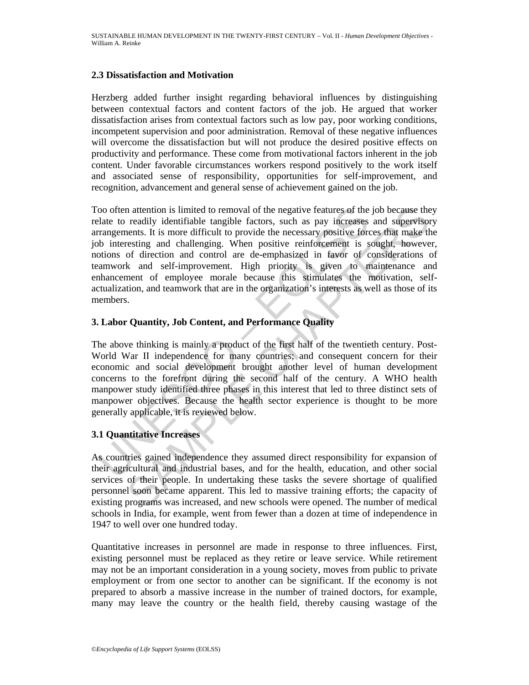## **2.3 Dissatisfaction and Motivation**

Herzberg added further insight regarding behavioral influences by distinguishing between contextual factors and content factors of the job. He argued that worker dissatisfaction arises from contextual factors such as low pay, poor working conditions, incompetent supervision and poor administration. Removal of these negative influences will overcome the dissatisfaction but will not produce the desired positive effects on productivity and performance. These come from motivational factors inherent in the job content. Under favorable circumstances workers respond positively to the work itself and associated sense of responsibility, opportunities for self-improvement, and recognition, advancement and general sense of achievement gained on the job.

oo often attention is limited to removal of the negative features of the lalate to readily identifiable tangible factors, such as pay increases<br>rangements. It is more difficult to provide the necessary positive relations<br>t In reation is limited to removal of the negative features of the job because the readily identifiable tanguble factors, such as pay increases and supervisors. It is more difficult to provide the conessary positive forces t Too often attention is limited to removal of the negative features of the job because they relate to readily identifiable tangible factors, such as pay increases and supervisory arrangements. It is more difficult to provide the necessary positive forces that make the job interesting and challenging. When positive reinforcement is sought, however, notions of direction and control are de-emphasized in favor of considerations of teamwork and self-improvement. High priority is given to maintenance and enhancement of employee morale because this stimulates the motivation, selfactualization, and teamwork that are in the organization's interests as well as those of its members.

## **3. Labor Quantity, Job Content, and Performance Quality**

The above thinking is mainly a product of the first half of the twentieth century. Post-World War II independence for many countries; and consequent concern for their economic and social development brought another level of human development concerns to the forefront during the second half of the century. A WHO health manpower study identified three phases in this interest that led to three distinct sets of manpower objectives. Because the health sector experience is thought to be more generally applicable, it is reviewed below.

## **3.1 Quantitative Increases**

As countries gained independence they assumed direct responsibility for expansion of their agricultural and industrial bases, and for the health, education, and other social services of their people. In undertaking these tasks the severe shortage of qualified personnel soon became apparent. This led to massive training efforts; the capacity of existing programs was increased, and new schools were opened. The number of medical schools in India, for example, went from fewer than a dozen at time of independence in 1947 to well over one hundred today.

Quantitative increases in personnel are made in response to three influences. First, existing personnel must be replaced as they retire or leave service. While retirement may not be an important consideration in a young society, moves from public to private employment or from one sector to another can be significant. If the economy is not prepared to absorb a massive increase in the number of trained doctors, for example, many may leave the country or the health field, thereby causing wastage of the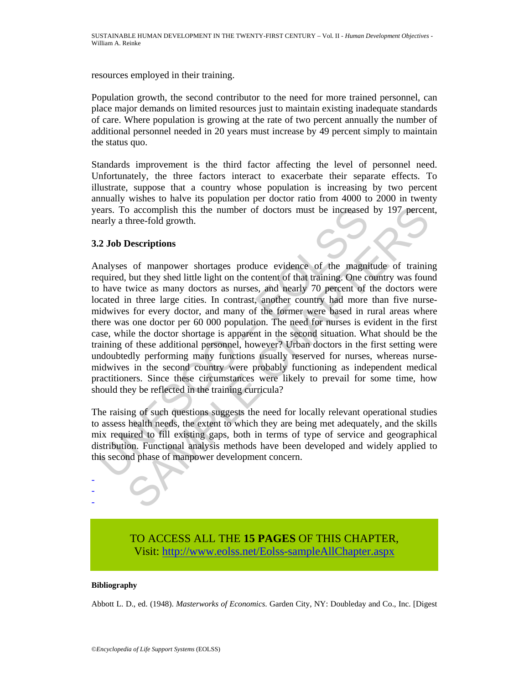resources employed in their training.

Population growth, the second contributor to the need for more trained personnel, can place major demands on limited resources just to maintain existing inadequate standards of care. Where population is growing at the rate of two percent annually the number of additional personnel needed in 20 years must increase by 49 percent simply to maintain the status quo.

Standards improvement is the third factor affecting the level of personnel need. Unfortunately, the three factors interact to exacerbate their separate effects. To illustrate, suppose that a country whose population is increasing by two percent annually wishes to halve its population per doctor ratio from 4000 to 2000 in twenty years. To accomplish this the number of doctors must be increased by 197 percent, nearly a three-fold growth.

## **3.2 Job Descriptions**

ears. To accomplish this the number of doctors must be increased<br>early a three-fold growth.<br>
2 Job Descriptions<br>
analyses of manpower shortages produce evidence of the magni<br>
analyses of manpower shortages produce evidence o accomplish this the number of doctors must be increased by 197 percent<br>three-fold growth.<br>
Descriptions<br>
so f manpower shortages produce evidence of the magnitude of trainin<br>
but they shed little light on the content of Analyses of manpower shortages produce evidence of the magnitude of training required, but they shed little light on the content of that training. One country was found to have twice as many doctors as nurses, and nearly 70 percent of the doctors were located in three large cities. In contrast, another country had more than five nursemidwives for every doctor, and many of the former were based in rural areas where there was one doctor per 60 000 population. The need for nurses is evident in the first case, while the doctor shortage is apparent in the second situation. What should be the training of these additional personnel, however? Urban doctors in the first setting were undoubtedly performing many functions usually reserved for nurses, whereas nursemidwives in the second country were probably functioning as independent medical practitioners. Since these circumstances were likely to prevail for some time, how should they be reflected in the training curricula?

The raising of such questions suggests the need for locally relevant operational studies to assess health needs, the extent to which they are being met adequately, and the skills mix required to fill existing gaps, both in terms of type of service and geographical distribution. Functional analysis methods have been developed and widely applied to this second phase of manpower development concern.

> TO ACCESS ALL THE **15 PAGES** OF THIS CHAPTER, Visi[t: http://www.eolss.net/Eolss-sampleAllChapter.aspx](https://www.eolss.net/ebooklib/sc_cart.aspx?File=E6-60-05-01)

#### **Bibliography**

- - -

Abbott L. D., ed. (1948). *Masterworks of Economics*. Garden City, NY: Doubleday and Co., Inc. [Digest